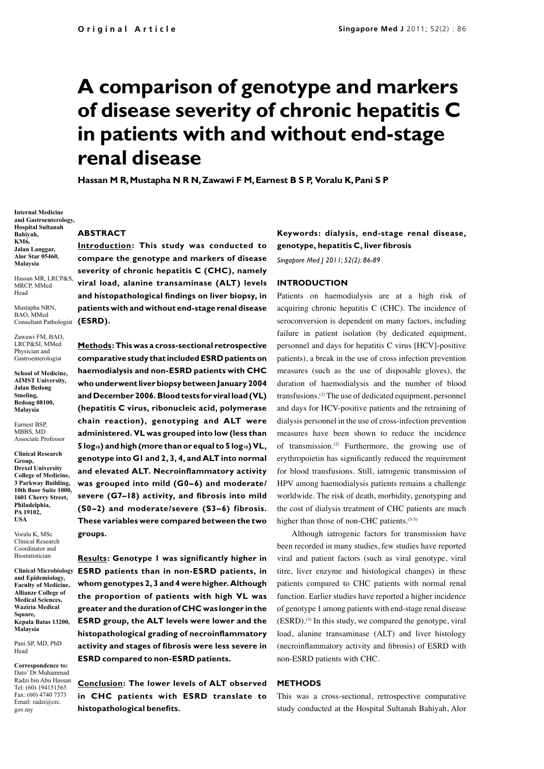# **A comparison of genotype and markers of disease severity of chronic hepatitis C in patients with and without end-stage renal disease**

**Hassan M R, Mustapha N R N, Zawawi F M, Earnest B S P, Voralu K, Pani S P**

**Internal Medicine and Gastroenterology, Hospital Sultanah Bahiyah, KM6, Jalan Langgar, Alor Star 05460, Malaysia** 

Hassan MR, LRCP&S, MRCP, MMed Head

Mustapha NRN, BAO, MMed Consultant Pathologist

Zawawi FM, BAO, LRCP&SI, MMed Physician and Gastroenterologist

**School of Medicine, AIMST University, Jalan Bedong Smeling, Bedong 08100, Malaysia**

Earnest BSP, MBBS, MD Associate Professor

**Clinical Research Group, Drexel University College of Medicine, 3 Parkway Building, 10th floor Suite 1000, 1601 Cherry Street, Philadelphia, PA 19102, USA**

Voralu K, MSc Clinical Research Coordinator and Biostatistician

**Clinical Microbiology and Epidemiology, Faculty of Medicine, Allianze College of Medical Sciences, Waziria Medical Square, Kepala Batas 13200, Malaysia**

Pani SP, MD, PhD Head

**Correspondence to:** Dato' Dr Muhammad Radzi bin Abu Hassan Tel: (60) 194151565 Fax: (60) 4740 7373 Email: radzi@crc. gov.my

## **ABSTRACT**

**Introduction: This study was conducted to compare the genotype and markers of disease severity of chronic hepatitis C (CHC), namely viral load, alanine transaminase (ALT) levels and histopathological findings on liver biopsy, in patients with and without end-stage renal disease (ESRD).**

**Methods: This was a cross-sectional retrospective comparative study that included ESRD patients on haemodialysis and non-ESRD patients with CHC who underwent liver biopsy between January 2004 and December 2006. Blood tests for viral load (VL) (hepatitis C virus, ribonucleic acid, polymerase chain reaction), genotyping and ALT were administered. VL was grouped into low (less than 5 log10) and high (more than or equal to 5 log10) VL, genotype into G1 and 2, 3, 4, and ALT into normal and elevated ALT. Necroinflammatory activity was grouped into mild (G0–6) and moderate/ severe (G7–18) activity, and fibrosis into mild (S0–2) and moderate/severe (S3–6) fibrosis. These variables were compared between the two groups.**

**Results: Genotype 1 was significantly higher in ESRD patients than in non-ESRD patients, in whom genotypes 2, 3 and 4 were higher. Although the proportion of patients with high VL was greater and the duration of CHC was longer in the ESRD group, the ALT levels were lower and the histopathological grading of necroinflammatory activity and stages of fibrosis were less severe in ESRD compared to non-ESRD patients.** 

**Conclusion: The lower levels of ALT observed in CHC patients with ESRD translate to histopathological benefits.** 

**Keywords: dialysis, end-stage renal disease, genotype, hepatitis C, liver fibrosis** *Singapore Med J 2011; 52(2): 86-89*

## **INTRODUCTION**

Patients on haemodialysis are at a high risk of acquiring chronic hepatitis C (CHC). The incidence of seroconversion is dependent on many factors, including failure in patient isolation (by dedicated equipment, personnel and days for hepatitis C virus [HCV]-positive patients), a break in the use of cross infection prevention measures (such as the use of disposable gloves), the duration of haemodialysis and the number of blood transfusions.(1) The use of dedicated equipment, personnel and days for HCV-positive patients and the retraining of dialysis personnel in the use of cross-infection prevention measures have been shown to reduce the incidence of transmission.(2) Furthermore, the growing use of erythropoietin has significantly reduced the requirement for blood transfusions. Still, iatrogenic transmission of HPV among haemodialysis patients remains a challenge worldwide. The risk of death, morbidity, genotyping and the cost of dialysis treatment of CHC patients are much higher than those of non-CHC patients.<sup>(3-5)</sup>

Although iatrogenic factors for transmission have been recorded in many studies, few studies have reported viral and patient factors (such as viral genotype, viral titre, liver enzyme and histological changes) in these patients compared to CHC patients with normal renal function. Earlier studies have reported a higher incidence of genotype 1 among patients with end-stage renal disease  $(ESRD)$ .<sup>(3)</sup> In this study, we compared the genotype, viral load, alanine transaminase (ALT) and liver histology (necroinflammatory activity and fibrosis) of ESRD with non-ESRD patients with CHC.

### **METHODS**

This was a cross-sectional, retrospective comparative study conducted at the Hospital Sultanah Bahiyah, Alor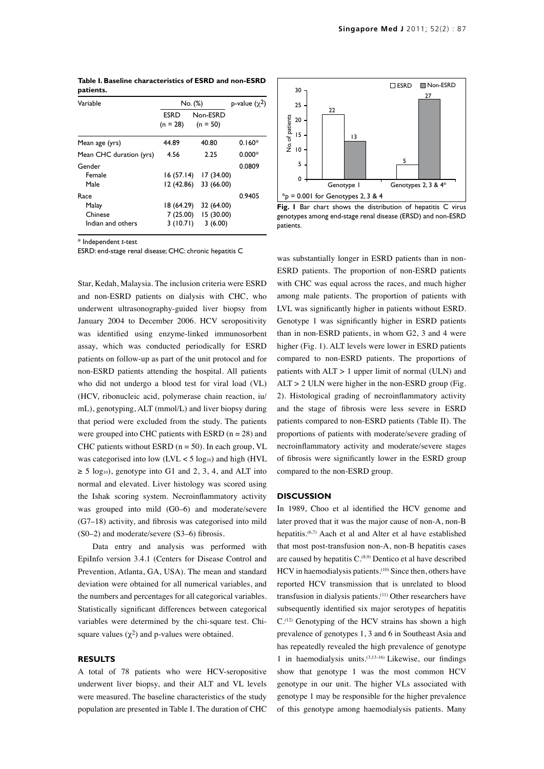| Variable                                      | No. (%)                            |                                      | p-value $(\chi^2)$ |
|-----------------------------------------------|------------------------------------|--------------------------------------|--------------------|
|                                               | ESRD<br>$(n = 28)$                 | Non-ESRD<br>$(n = 50)$               |                    |
| Mean age (yrs)                                | 44.89                              | 40.80                                | $0.160*$           |
| Mean CHC duration (yrs)                       | 4.56                               | 2.25                                 | $0.000*$           |
| Gender<br>Female<br>Male                      | I2 (42.86)                         | $16(57.14)$ 17 (34.00)<br>33 (66.00) | 0.0809             |
| Race<br>Malay<br>Chinese<br>Indian and others | 18 (64.29)<br>7(25.00)<br>3(10.71) | 32 (64.00)<br>15 (30.00)<br>3(6.00)  | 0.9405             |

**Table I. Baseline characteristics of ESRD and non-ESRD patients.**

\* Independent *t*-test

ESRD: end-stage renal disease; CHC: chronic hepatitis C

Star, Kedah, Malaysia. The inclusion criteria were ESRD and non-ESRD patients on dialysis with CHC, who underwent ultrasonography-guided liver biopsy from January 2004 to December 2006. HCV seropositivity was identified using enzyme-linked immunosorbent assay, which was conducted periodically for ESRD patients on follow-up as part of the unit protocol and for non-ESRD patients attending the hospital. All patients who did not undergo a blood test for viral load (VL) (HCV, ribonucleic acid, polymerase chain reaction, iu/ mL), genotyping, ALT (mmol/L) and liver biopsy during that period were excluded from the study. The patients were grouped into CHC patients with ESRD ( $n = 28$ ) and CHC patients without ESRD  $(n = 50)$ . In each group, VL was categorised into low  $(LVL < 5 \log_{10})$  and high  $(HVL)$  $\geq$  5 log<sub>10</sub>), genotype into G1 and 2, 3, 4, and ALT into normal and elevated. Liver histology was scored using the Ishak scoring system. Necroinflammatory activity was grouped into mild (G0–6) and moderate/severe (G7–18) activity, and fibrosis was categorised into mild (S0–2) and moderate/severe (S3–6) fibrosis.

Data entry and analysis was performed with EpiInfo version 3.4.1 (Centers for Disease Control and Prevention, Atlanta, GA, USA). The mean and standard deviation were obtained for all numerical variables, and the numbers and percentages for all categorical variables. Statistically significant differences between categorical variables were determined by the chi-square test. Chisquare values  $(\chi^2)$  and p-values were obtained.

# **RESULTS**

A total of 78 patients who were HCV-seropositive underwent liver biopsy, and their ALT and VL levels were measured. The baseline characteristics of the study population are presented in Table I. The duration of CHC



**Fig. 1** Bar chart shows the distribution of hepatitis C virus genotypes among end-stage renal disease (ERSD) and non-ESRD patients.

was substantially longer in ESRD patients than in non-ESRD patients. The proportion of non-ESRD patients with CHC was equal across the races, and much higher among male patients. The proportion of patients with LVL was significantly higher in patients without ESRD. Genotype 1 was significantly higher in ESRD patients than in non-ESRD patients, in whom G2, 3 and 4 were higher (Fig. 1). ALT levels were lower in ESRD patients compared to non-ESRD patients. The proportions of patients with ALT > 1 upper limit of normal (ULN) and ALT > 2 ULN were higher in the non-ESRD group (Fig. 2). Histological grading of necroinflammatory activity and the stage of fibrosis were less severe in ESRD patients compared to non-ESRD patients (Table II). The proportions of patients with moderate/severe grading of necroinflammatory activity and moderate/severe stages of fibrosis were significantly lower in the ESRD group compared to the non-ESRD group.

### **DISCUSSION**

In 1989, Choo et al identified the HCV genome and later proved that it was the major cause of non-A, non-B hepatitis.(6,7) Aach et al and Alter et al have established that most post-transfusion non-A, non-B hepatitis cases are caused by hepatitis  $C^{(8,9)}$  Dentico et al have described HCV in haemodialysis patients.<sup>(10)</sup> Since then, others have reported HCV transmission that is unrelated to blood transfusion in dialysis patients.(11) Other researchers have subsequently identified six major serotypes of hepatitis  $C^{(12)}$  Genotyping of the HCV strains has shown a high prevalence of genotypes 1, 3 and 6 in Southeast Asia and has repeatedly revealed the high prevalence of genotype 1 in haemodialysis units. $(3,13-16)$  Likewise, our findings show that genotype 1 was the most common HCV genotype in our unit. The higher VLs associated with genotype 1 may be responsible for the higher prevalence of this genotype among haemodialysis patients. Many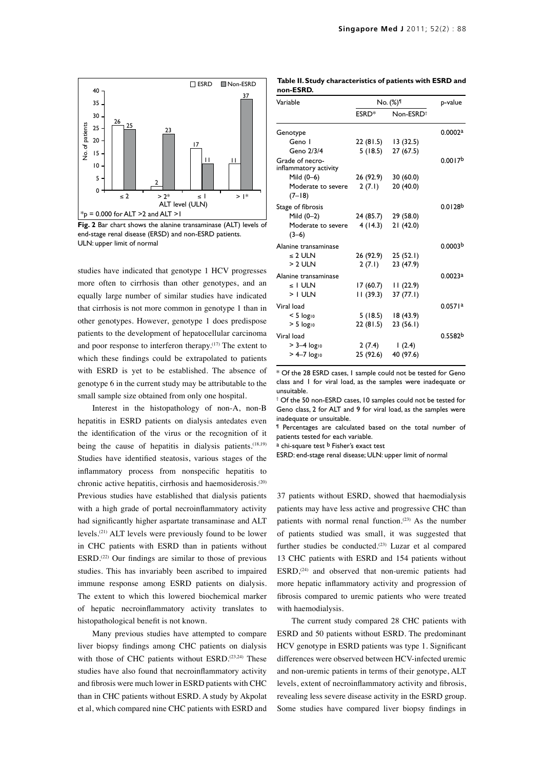

**Fig. 2** Bar chart shows the alanine transaminase (ALT) levels of end-stage renal disease (ERSD) and non-ESRD patients. ULN: upper limit of normal

studies have indicated that genotype 1 HCV progresses more often to cirrhosis than other genotypes, and an equally large number of similar studies have indicated that cirrhosis is not more common in genotype 1 than in other genotypes. However, genotype 1 does predispose patients to the development of hepatocellular carcinoma and poor response to interferon therapy.<sup>(17)</sup> The extent to which these findings could be extrapolated to patients with ESRD is yet to be established. The absence of genotype 6 in the current study may be attributable to the small sample size obtained from only one hospital.

Interest in the histopathology of non-A, non-B hepatitis in ESRD patients on dialysis antedates even the identification of the virus or the recognition of it being the cause of hepatitis in dialysis patients.<sup>(18,19)</sup> Studies have identified steatosis, various stages of the inflammatory process from nonspecific hepatitis to chronic active hepatitis, cirrhosis and haemosiderosis.(20) Previous studies have established that dialysis patients with a high grade of portal necroinflammatory activity had significantly higher aspartate transaminase and ALT levels.(21) ALT levels were previously found to be lower in CHC patients with ESRD than in patients without ESRD.(22) Our findings are similar to those of previous studies. This has invariably been ascribed to impaired immune response among ESRD patients on dialysis. The extent to which this lowered biochemical marker of hepatic necroinflammatory activity translates to histopathological benefit is not known.

Many previous studies have attempted to compare liver biopsy findings among CHC patients on dialysis with those of CHC patients without ESRD.<sup>(23,24)</sup> These studies have also found that necroinflammatory activity and fibrosis were much lower in ESRD patients with CHC than in CHC patients without ESRD. A study by Akpolat et al, which compared nine CHC patients with ESRD and

**Table II. Study characteristics of patients with ESRD and non-ESRD.**

| Variable                                 | No. (%) <sup>¶</sup> |                       | p-value             |
|------------------------------------------|----------------------|-----------------------|---------------------|
|                                          | ESRD <sup>*</sup>    | Non-ESRD <sup>+</sup> |                     |
| Genotype                                 |                      |                       | 0.0002a             |
| Geno I                                   |                      | 22 (81.5) 13 (32.5)   |                     |
| Geno 2/3/4                               | 5(18.5)              | 27 (67.5)             |                     |
| Grade of necro-<br>inflammatory activity |                      |                       | 0.0017 <sup>b</sup> |
| Mild (0-6)                               | 26 (92.9)            | 30(60.0)              |                     |
| Moderate to severe<br>$(7-18)$           | 2(7.1)               | 20 (40.0)             |                     |
| Stage of fibrosis                        |                      |                       | 0.0128 <sup>b</sup> |
| Mild (0-2)                               |                      | 24 (85.7) 29 (58.0)   |                     |
| Moderate to severe<br>$(3-6)$            | 4 (14.3)             | 21(42.0)              |                     |
| Alanine transaminase                     |                      |                       | 0.0003 <sup>b</sup> |
| $\leq 2$ ULN                             | 26 (92.9)            | 25(52.1)              |                     |
| $> 2$ ULN                                | 2(7.1)               | 23 (47.9)             |                     |
| Alanine transaminase                     |                      |                       | 0.0023a             |
| ≤ I ULN                                  |                      | $17(60.7)$ 11 (22.9)  |                     |
| $> 1$ ULN                                | II (39.3)            | 37(77.1)              |                     |
| Viral load                               |                      |                       | 0.0571 <sup>a</sup> |
| $< 5$ log <sub>10</sub>                  |                      | $5(18.5)$ 18 (43.9)   |                     |
| $> 5$ logio                              | 22 (81.5)            | 23(56.1)              |                     |
| Viral load                               |                      |                       | 0.5582b             |
| $> 3 - 4$ log <sub>10</sub>              | 2(7.4)               | 1(2.4)                |                     |
| $> 4 - 7$ logio                          |                      | 25 (92.6) 40 (97.6)   |                     |

\* Of the 28 ESRD cases, 1 sample could not be tested for Geno class and 1 for viral load, as the samples were inadequate or unsuitable.

† Of the 50 non-ESRD cases, 10 samples could not be tested for Geno class, 2 for ALT and 9 for viral load, as the samples were inadequate or unsuitable.

¶ Percentages are calculated based on the total number of patients tested for each variable.

<sup>a</sup> chi-square test <sup>b</sup> Fisher's exact test

ESRD: end-stage renal disease; ULN: upper limit of normal

37 patients without ESRD, showed that haemodialysis patients may have less active and progressive CHC than patients with normal renal function.<sup>(23)</sup> As the number of patients studied was small, it was suggested that further studies be conducted.<sup> $(23)$ </sup> Luzar et al compared 13 CHC patients with ESRD and 154 patients without  $ESRD<sub>1</sub><sup>(24)</sup>$  and observed that non-uremic patients had more hepatic inflammatory activity and progression of fibrosis compared to uremic patients who were treated with haemodialysis.

The current study compared 28 CHC patients with ESRD and 50 patients without ESRD. The predominant HCV genotype in ESRD patients was type 1. Significant differences were observed between HCV-infected uremic and non-uremic patients in terms of their genotype, ALT levels, extent of necroinflammatory activity and fibrosis, revealing less severe disease activity in the ESRD group. Some studies have compared liver biopsy findings in